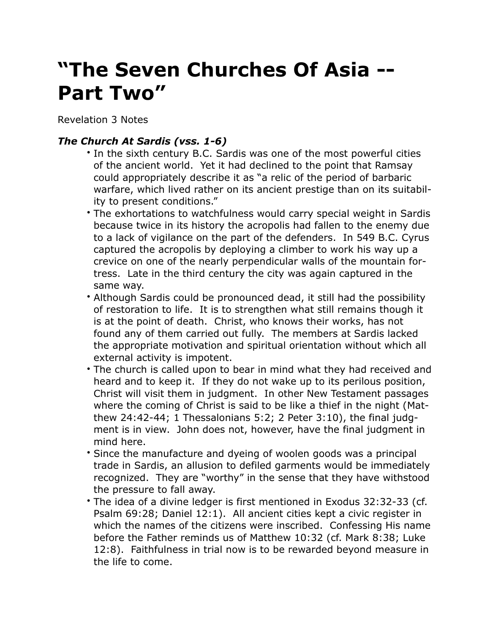## **"The Seven Churches Of Asia -- Part Two"**

Revelation 3 Notes

## *The Church At Sardis (vss. 1-6)*

- In the sixth century B.C. Sardis was one of the most powerful cities of the ancient world. Yet it had declined to the point that Ramsay could appropriately describe it as "a relic of the period of barbaric warfare, which lived rather on its ancient prestige than on its suitability to present conditions."
- The exhortations to watchfulness would carry special weight in Sardis because twice in its history the acropolis had fallen to the enemy due to a lack of vigilance on the part of the defenders. In 549 B.C. Cyrus captured the acropolis by deploying a climber to work his way up a crevice on one of the nearly perpendicular walls of the mountain fortress. Late in the third century the city was again captured in the same way.
- Although Sardis could be pronounced dead, it still had the possibility of restoration to life. It is to strengthen what still remains though it is at the point of death. Christ, who knows their works, has not found any of them carried out fully. The members at Sardis lacked the appropriate motivation and spiritual orientation without which all external activity is impotent.
- The church is called upon to bear in mind what they had received and heard and to keep it. If they do not wake up to its perilous position, Christ will visit them in judgment. In other New Testament passages where the coming of Christ is said to be like a thief in the night (Matthew 24:42-44; 1 Thessalonians 5:2; 2 Peter 3:10), the final judgment is in view. John does not, however, have the final judgment in mind here.
- Since the manufacture and dyeing of woolen goods was a principal trade in Sardis, an allusion to defiled garments would be immediately recognized. They are "worthy" in the sense that they have withstood the pressure to fall away.
- The idea of a divine ledger is first mentioned in Exodus 32:32-33 (cf. Psalm 69:28; Daniel 12:1). All ancient cities kept a civic register in which the names of the citizens were inscribed. Confessing His name before the Father reminds us of Matthew 10:32 (cf. Mark 8:38; Luke 12:8). Faithfulness in trial now is to be rewarded beyond measure in the life to come.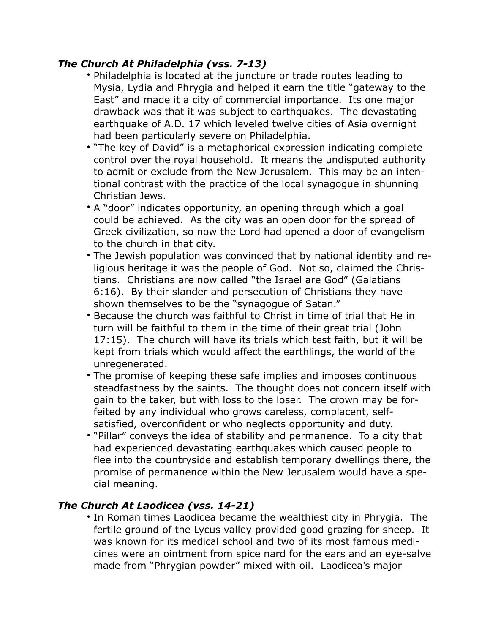## *The Church At Philadelphia (vss. 7-13)*

- Philadelphia is located at the juncture or trade routes leading to Mysia, Lydia and Phrygia and helped it earn the title "gateway to the East" and made it a city of commercial importance. Its one major drawback was that it was subject to earthquakes. The devastating earthquake of A.D. 17 which leveled twelve cities of Asia overnight had been particularly severe on Philadelphia.
- "The key of David" is a metaphorical expression indicating complete control over the royal household. It means the undisputed authority to admit or exclude from the New Jerusalem. This may be an intentional contrast with the practice of the local synagogue in shunning Christian Jews.
- A "door" indicates opportunity, an opening through which a goal could be achieved. As the city was an open door for the spread of Greek civilization, so now the Lord had opened a door of evangelism to the church in that city.
- The Jewish population was convinced that by national identity and religious heritage it was the people of God. Not so, claimed the Christians. Christians are now called "the Israel are God" (Galatians 6:16). By their slander and persecution of Christians they have shown themselves to be the "synagogue of Satan."
- Because the church was faithful to Christ in time of trial that He in turn will be faithful to them in the time of their great trial (John 17:15). The church will have its trials which test faith, but it will be kept from trials which would affect the earthlings, the world of the unregenerated.
- The promise of keeping these safe implies and imposes continuous steadfastness by the saints. The thought does not concern itself with gain to the taker, but with loss to the loser. The crown may be forfeited by any individual who grows careless, complacent, selfsatisfied, overconfident or who neglects opportunity and duty.
- "Pillar" conveys the idea of stability and permanence. To a city that had experienced devastating earthquakes which caused people to flee into the countryside and establish temporary dwellings there, the promise of permanence within the New Jerusalem would have a special meaning.

## *The Church At Laodicea (vss. 14-21)*

• In Roman times Laodicea became the wealthiest city in Phrygia. The fertile ground of the Lycus valley provided good grazing for sheep. It was known for its medical school and two of its most famous medicines were an ointment from spice nard for the ears and an eye-salve made from "Phrygian powder" mixed with oil. Laodicea's major